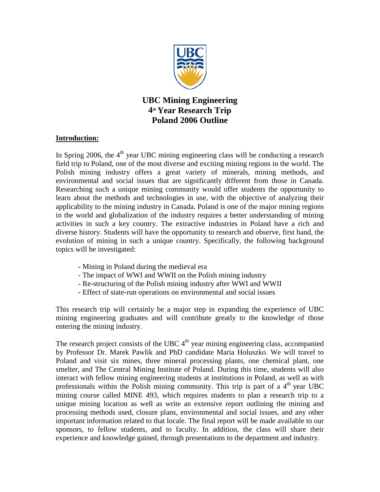

**UBC Mining Engineering 4th Year Research Trip Poland 2006 Outline**

## **Introduction:**

In Spring 2006, the  $4<sup>th</sup>$  year UBC mining engineering class will be conducting a research field trip to Poland, one of the most diverse and exciting mining regions in the world. The Polish mining industry offers a great variety of minerals, mining methods, and environmental and social issues that are significantly different from those in Canada. Researching such a unique mining community would offer students the opportunity to learn about the methods and technologies in use, with the objective of analyzing their applicability to the mining industry in Canada. Poland is one of the major mining regions in the world and globalization of the industry requires a better understanding of mining activities in such a key country. The extractive industries in Poland have a rich and diverse history. Students will have the opportunity to research and observe, first hand, the evolution of mining in such a unique country. Specifically, the following background topics will be investigated:

- Mining in Poland during the medieval era
- The impact of WWI and WWII on the Polish mining industry
- Re-structuring of the Polish mining industry after WWI and WWII
- Effect of state-run operations on environmental and social issues

This research trip will certainly be a major step in expanding the experience of UBC mining engineering graduates and will contribute greatly to the knowledge of those entering the mining industry.

The research project consists of the UBC  $4<sup>th</sup>$  year mining engineering class, accompanied by Professor Dr. Marek Pawlik and PhD candidate Maria Holuszko. We will travel to Poland and visit six mines, three mineral processing plants, one chemical plant, one smelter, and The Central Mining Institute of Poland. During this time, students will also interact with fellow mining engineering students at institutions in Poland, as well as with professionals within the Polish mining community. This trip is part of a  $4<sup>th</sup>$  year UBC mining course called MINE 493, which requires students to plan a research trip to a unique mining location as well as write an extensive report outlining the mining and processing methods used, closure plans, environmental and social issues, and any other important information related to that locale. The final report will be made available to our sponsors, to fellow students, and to faculty. In addition, the class will share their experience and knowledge gained, through presentations to the department and industry.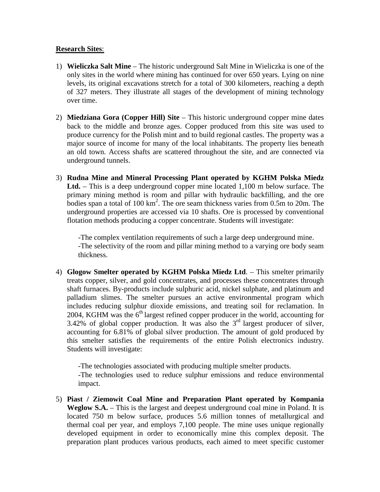## **Research Sites**:

- 1) **Wieliczka Salt Mine**  The historic underground Salt Mine in Wieliczka is one of the only sites in the world where mining has continued for over 650 years. Lying on nine levels, its original excavations stretch for a total of 300 kilometers, reaching a depth of 327 meters. They illustrate all stages of the development of mining technology over time.
- 2) **Miedziana Gora (Copper Hill) Site**  This historic underground copper mine dates back to the middle and bronze ages. Copper produced from this site was used to produce currency for the Polish mint and to build regional castles. The property was a major source of income for many of the local inhabitants. The property lies beneath an old town. Access shafts are scattered throughout the site, and are connected via underground tunnels.
- 3) **Rudna Mine and Mineral Processing Plant operated by KGHM Polska Miedz Ltd.** – This is a deep underground copper mine located 1,100 m below surface. The primary mining method is room and pillar with hydraulic backfilling, and the ore bodies span a total of 100  $km^2$ . The ore seam thickness varies from 0.5m to 20m. The underground properties are accessed via 10 shafts. Ore is processed by conventional flotation methods producing a copper concentrate. Students will investigate:

-The complex ventilation requirements of such a large deep underground mine. -The selectivity of the room and pillar mining method to a varying ore body seam thickness.

4) **Glogow Smelter operated by KGHM Polska Miedz Ltd**. – This smelter primarily treats copper, silver, and gold concentrates, and processes these concentrates through shaft furnaces. By-products include sulphuric acid, nickel sulphate, and platinum and palladium slimes. The smelter pursues an active environmental program which includes reducing sulphur dioxide emissions, and treating soil for reclamation. In 2004, KGHM was the  $6<sup>th</sup>$  largest refined copper producer in the world, accounting for 3.42% of global copper production. It was also the 3rd largest producer of silver, accounting for 6.81% of global silver production. The amount of gold produced by this smelter satisfies the requirements of the entire Polish electronics industry. Students will investigate:

-The technologies associated with producing multiple smelter products. -The technologies used to reduce sulphur emissions and reduce environmental impact.

5) **Piast / Ziemowit Coal Mine and Preparation Plant operated by Kompania Weglow S.A.** – This is the largest and deepest underground coal mine in Poland. It is located 750 m below surface, produces 5.6 million tonnes of metallurgical and thermal coal per year, and employs 7,100 people. The mine uses unique regionally developed equipment in order to economically mine this complex deposit. The preparation plant produces various products, each aimed to meet specific customer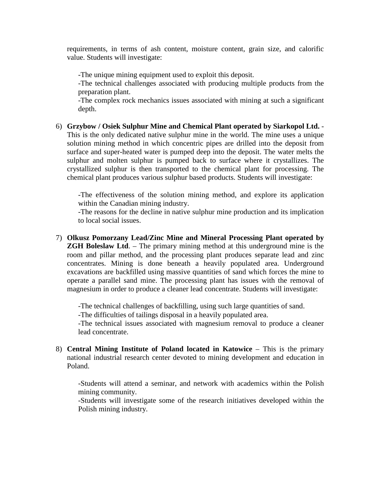requirements, in terms of ash content, moisture content, grain size, and calorific value. Students will investigate:

-The unique mining equipment used to exploit this deposit.

-The technical challenges associated with producing multiple products from the preparation plant.

-The complex rock mechanics issues associated with mining at such a significant depth.

6) **Grzybow / Osiek Sulphur Mine and Chemical Plant operated by Siarkopol Ltd.** - This is the only dedicated native sulphur mine in the world. The mine uses a unique solution mining method in which concentric pipes are drilled into the deposit from surface and super-heated water is pumped deep into the deposit. The water melts the sulphur and molten sulphur is pumped back to surface where it crystallizes. The crystallized sulphur is then transported to the chemical plant for processing. The chemical plant produces various sulphur based products. Students will investigate:

-The effectiveness of the solution mining method, and explore its application within the Canadian mining industry.

-The reasons for the decline in native sulphur mine production and its implication to local social issues.

7) **Olkusz Pomorzany Lead/Zinc Mine and Mineral Processing Plant operated by ZGH Boleslaw Ltd**. – The primary mining method at this underground mine is the room and pillar method, and the processing plant produces separate lead and zinc concentrates. Mining is done beneath a heavily populated area. Underground excavations are backfilled using massive quantities of sand which forces the mine to operate a parallel sand mine. The processing plant has issues with the removal of magnesium in order to produce a cleaner lead concentrate. Students will investigate:

-The technical challenges of backfilling, using such large quantities of sand.

-The difficulties of tailings disposal in a heavily populated area.

-The technical issues associated with magnesium removal to produce a cleaner lead concentrate.

8) **Central Mining Institute of Poland located in Katowice – This is the primary** national industrial research center devoted to mining development and education in Poland.

-Students will attend a seminar, and network with academics within the Polish mining community.

-Students will investigate some of the research initiatives developed within the Polish mining industry.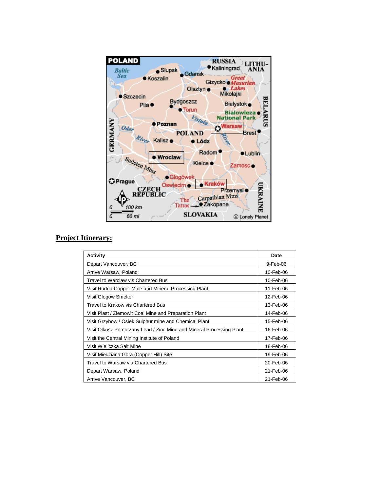

## **Project Itinerary:**

| Activity                                                             | Date      |
|----------------------------------------------------------------------|-----------|
| Depart Vancouver, BC                                                 | 9-Feb-06  |
| Arrive Warsaw, Poland                                                | 10-Feb-06 |
| Travel to Warclaw vis Chartered Bus                                  | 10-Feb-06 |
| Visit Rudna Copper Mine and Mineral Processing Plant                 | 11-Feb-06 |
| Visit Glogow Smelter                                                 | 12-Feb-06 |
| Travel to Krakow vis Chartered Bus                                   | 13-Feb-06 |
| Visit Piast / Ziemowit Coal Mine and Preparation Plant               | 14-Feb-06 |
| Visit Grzybow / Osiek Sulphur mine and Chemical Plant                | 15-Feb-06 |
| Visit Olkusz Pomorzany Lead / Zinc Mine and Mineral Processing Plant | 16-Feb-06 |
| Visit the Central Mining Institute of Poland                         | 17-Feb-06 |
| Visit Wieliczka Salt Mine                                            | 18-Feb-06 |
| Visit Miedziana Gora (Copper Hill) Site                              | 19-Feb-06 |
| Travel to Warsaw via Chartered Bus                                   | 20-Feb-06 |
| Depart Warsaw, Poland                                                | 21-Feb-06 |
| Arrive Vancouver, BC                                                 | 21-Feb-06 |